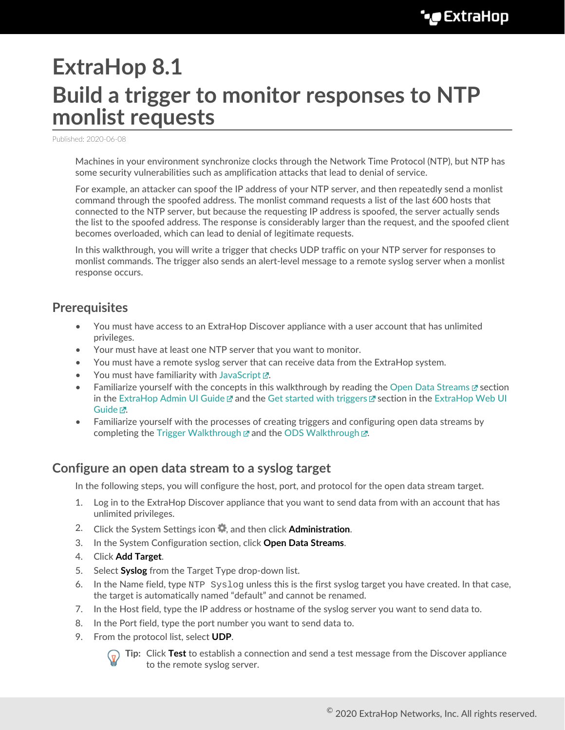# **ExtraHop 8.1 Build a trigger to monitor responses to NTP monlist requests**

Published: 2020-06-08

Machines in your environment synchronize clocks through the Network Time Protocol (NTP), but NTP has some security vulnerabilities such as amplification attacks that lead to denial of service.

For example, an attacker can spoof the IP address of your NTP server, and then repeatedly send a monlist command through the spoofed address. The monlist command requests a list of the last 600 hosts that connected to the NTP server, but because the requesting IP address is spoofed, the server actually sends the list to the spoofed address. The response is considerably larger than the request, and the spoofed client becomes overloaded, which can lead to denial of legitimate requests.

In this walkthrough, you will write a trigger that checks UDP traffic on your NTP server for responses to monlist commands. The trigger also sends an alert-level message to a remote syslog server when a monlist response occurs.

# **Prerequisites**

- You must have access to an ExtraHop Discover appliance with a user account that has unlimited privileges.
- Your must have at least one NTP server that you want to monitor.
- You must have a remote syslog server that can receive data from the ExtraHop system.
- You must have familiarity with [JavaScript](http://www.ecma-international.org/ecma-262/5.1/) ...
- Familiarize yourself with the concepts in this walkthrough by reading the [Open Data Streams](https://docs.extrahop.com/8.1/eh-admin-ui-guide/#open-data-streams) E's section in the [ExtraHop Admin UI Guide](https://docs.extrahop.com/8.1/eh-admin-ui-guide/)  $\mathbb Z$  and the [Get started with triggers](https://docs.extrahop.com/8.1/eh-web-ui-guide/#get-started-with-triggers)  $\mathbb Z$  section in the [ExtraHop Web UI](https://docs.extrahop.com/8.1/eh-web-ui-guide/) [Guide](https://docs.extrahop.com/8.1/eh-web-ui-guide/) <sub>.</sub>.
- Familiarize yourself with the processes of creating triggers and configuring open data streams by completing the [Trigger Walkthrough](https://docs.extrahop.com/8.1/walkthrough-trigger)  $\mathbb Z$  and the [ODS Walkthrough](https://docs.extrahop.com/8.1/walk-ods/)  $\mathbb Z$ .

## **Configure an open data stream to a syslog target**

In the following steps, you will configure the host, port, and protocol for the open data stream target.

- 1. Log in to the ExtraHop Discover appliance that you want to send data from with an account that has unlimited privileges.
- 2. Click the System Settings icon  $\bullet$ , and then click **Administration**.
- 3. In the System Configuration section, click **Open Data Streams**.
- 4. Click **Add Target**.
- 5. Select **Syslog** from the Target Type drop-down list.
- 6. In the Name field, type  $NTP$  Syslog unless this is the first syslog target you have created. In that case, the target is automatically named "default" and cannot be renamed.
- 7. In the Host field, type the IP address or hostname of the syslog server you want to send data to.
- 8. In the Port field, type the port number you want to send data to.
- 9. From the protocol list, select **UDP**.



**Tip:** Click **Test** to establish a connection and send a test message from the Discover appliance to the remote syslog server.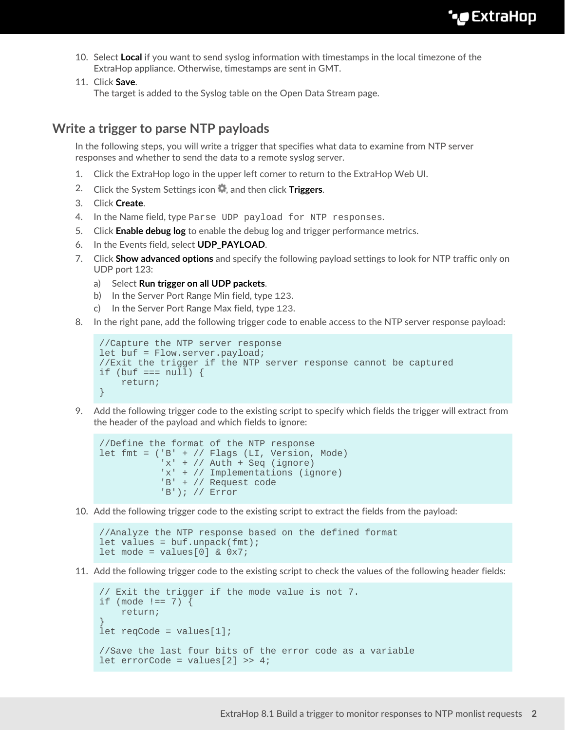- 10. Select **Local** if you want to send syslog information with timestamps in the local timezone of the ExtraHop appliance. Otherwise, timestamps are sent in GMT.
- 11. Click **Save**.

The target is added to the Syslog table on the Open Data Stream page.

### **Write a trigger to parse NTP payloads**

In the following steps, you will write a trigger that specifies what data to examine from NTP server responses and whether to send the data to a remote syslog server.

- 1. Click the ExtraHop logo in the upper left corner to return to the ExtraHop Web UI.
- 2. Click the System Settings icon **4**, and then click **Triggers.**
- 3. Click **Create**.
- 4. In the Name field, type Parse UDP payload for NTP responses.
- 5. Click **Enable debug log** to enable the debug log and trigger performance metrics.
- 6. In the Events field, select **UDP\_PAYLOAD**.
- 7. Click **Show advanced options** and specify the following payload settings to look for NTP traffic only on UDP port 123:
	- a) Select **Run trigger on all UDP packets**.
	- b) In the Server Port Range Min field, type 123.
	- c) In the Server Port Range Max field, type 123.
- 8. In the right pane, add the following trigger code to enable access to the NTP server response payload:

```
//Capture the NTP server response
let buf = Flow.server.payload;
//Exit the trigger if the NTP server response cannot be captured
if (buf == null) {
    return;
}
```
9. Add the following trigger code to the existing script to specify which fields the trigger will extract from the header of the payload and which fields to ignore:

```
//Define the format of the NTP response
let fmt = ('B' + // Flags (LI, Version, Mode)
           'x' + // Auth + Seq (ignore)
            'x' + // Implementations (ignore)
            'B' + // Request code
            'B'); // Error
```
10. Add the following trigger code to the existing script to extract the fields from the payload:

```
//Analyze the NTP response based on the defined format
let values = buf.\text{unpack}(\text{fmt});
let mode = values[0] & 0x7;
```
11. Add the following trigger code to the existing script to check the values of the following header fields:

```
// Exit the trigger if the mode value is not 7.
if (mode !== 7) {
    return;
}
let reqCode = values[1];
//Save the last four bits of the error code as a variable
let errorCode = values[2] >> 4;
```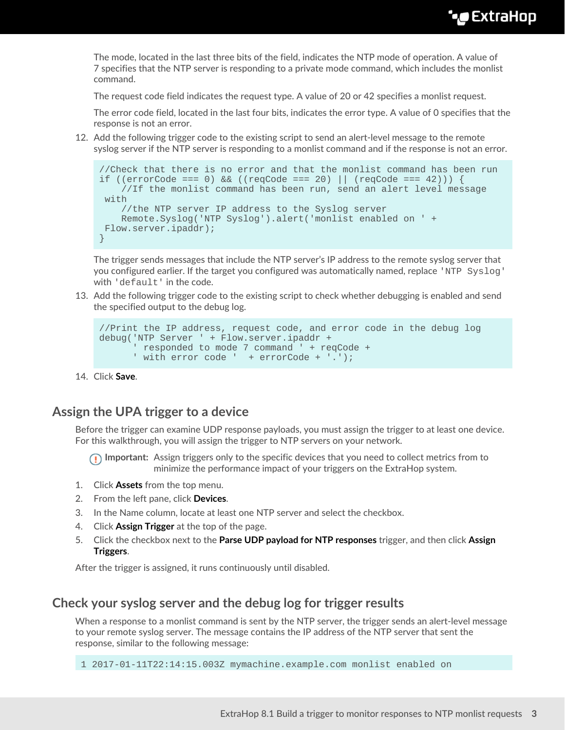The mode, located in the last three bits of the field, indicates the NTP mode of operation. A value of 7 specifies that the NTP server is responding to a private mode command, which includes the monlist command.

The request code field indicates the request type. A value of 20 or 42 specifies a monlist request.

The error code field, located in the last four bits, indicates the error type. A value of 0 specifies that the response is not an error.

12. Add the following trigger code to the existing script to send an alert-level message to the remote syslog server if the NTP server is responding to a monlist command and if the response is not an error.

```
//Check that there is no error and that the monlist command has been run
if ((errorCode === 0) && ((reqCode === 20) || (reqCode === 42))) {
     //If the monlist command has been run, send an alert level message
 with
     //the NTP server IP address to the Syslog server 
     Remote.Syslog('NTP Syslog').alert('monlist enabled on ' +
 Flow.server.ipaddr);
}
```
The trigger sends messages that include the NTP server's IP address to the remote syslog server that you configured earlier. If the target you configured was automatically named, replace 'NTP Syslog' with 'default' in the code.

13. Add the following trigger code to the existing script to check whether debugging is enabled and send the specified output to the debug log.

```
//Print the IP address, request code, and error code in the debug log
debug('NTP Server ' + Flow.server.ipaddr +
       ' responded to mode 7 command ' + reqCode +
       ' with error code ' + errorCode + '.');
```
14. Click **Save**.

#### **Assign the UPA trigger to a device**

Before the trigger can examine UDP response payloads, you must assign the trigger to at least one device. For this walkthrough, you will assign the trigger to NTP servers on your network.

**Important:** Assign triggers only to the specific devices that you need to collect metrics from to minimize the performance impact of your triggers on the ExtraHop system.

- 1. Click **Assets** from the top menu.
- 2. From the left pane, click **Devices**.
- 3. In the Name column, locate at least one NTP server and select the checkbox.
- 4. Click **Assign Trigger** at the top of the page.
- 5. Click the checkbox next to the **Parse UDP payload for NTP responses** trigger, and then click **Assign Triggers**.

After the trigger is assigned, it runs continuously until disabled.

#### **Check your syslog server and the debug log for trigger results**

When a response to a monlist command is sent by the NTP server, the trigger sends an alert-level message to your remote syslog server. The message contains the IP address of the NTP server that sent the response, similar to the following message:

1 2017-01-11T22:14:15.003Z mymachine.example.com monlist enabled on